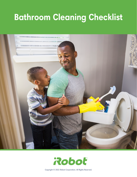# **Bathroom Cleaning Checklist**





Copyright © 2022 iRobot Corporation. All Rights Reserved.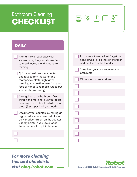### Bathroom Cleaning CHECKLIST BREE



#### **DAILY**

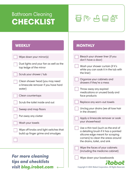# Bathroom Cleaning  $\overline{\text{CHECKTBL}}$   $\overline{\text{B}}$   $\mathbb{R}$   $\overline{\text{B}}$   $\overline{\text{C}}$   $\overline{\text{B}}$   $\overline{\text{C}}$   $\overline{\text{C}}$   $\overline{\text{C}}$   $\overline{\text{C}}$   $\overline{\text{C}}$   $\overline{\text{C}}$   $\overline{\text{C}}$   $\overline{\text{C}}$   $\overline{\text{C}}$   $\overline{\text{C}}$   $\overline{\text{C}}$   $\overline{\text{C}}$   $\overline{\text{C}}$   $\overline{\text{C}}$



**MONTHLY** 

### **WEEKLY**

| Wipe down your mirror(s)                                                    | Bleach your shower liner (if you<br>don't have a door)                                                           |
|-----------------------------------------------------------------------------|------------------------------------------------------------------------------------------------------------------|
| Dust lights and your fan as well as the<br>top ledge of the mirror          | Wash your shower curtain (if it's<br>white you can soak it in the tub with                                       |
| Scrub your shower / tub                                                     | the liner)                                                                                                       |
| Clean shower head (you may need<br>a limescale remover if you have hard     | Organize your cabinets and<br>drawers if they're a mess                                                          |
| water)                                                                      | Throw away any expired                                                                                           |
| Clean countertops                                                           | medications or unused body and<br>face products                                                                  |
| Scrub the toilet inside and out                                             | Replace any worn-out towels                                                                                      |
| Sweep and mop floors                                                        | Unclog your drains (we all lose hair<br>in the shower)                                                           |
| Put away any clutter                                                        | Apply a limescale remover or soak                                                                                |
| Wash your towels                                                            | your showerhead                                                                                                  |
| Wipe off knobs and light switches that<br>build up finger grime and smudges | Use a thin tool (such as the end of<br>a detailing brush if it has a pointed<br>silicone edge meant for scraping |
|                                                                             | corners) to clean the areas around<br>the drains, toilet, and sink                                               |
|                                                                             | Wipe the faces of your cabinets<br>(including the medicine cabinet)                                              |
| <b>For more cleaning</b><br>tips and checklists                             | Wipe down your baseboards<br>Robo                                                                                |
| visit blog.irobot.com                                                       | Copyright © 2022 iRobot Corporation. All Rights Reserved.                                                        |